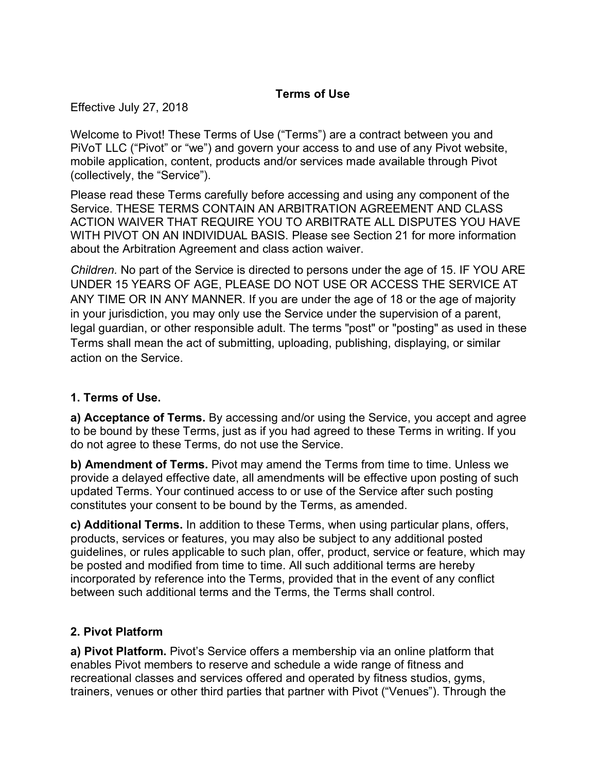## **Terms of Use**

Effective July 27, 2018

Welcome to Pivot! These Terms of Use ("Terms") are a contract between you and PiVoT LLC ("Pivot" or "we") and govern your access to and use of any Pivot website, mobile application, content, products and/or services made available through Pivot (collectively, the "Service").

Please read these Terms carefully before accessing and using any component of the Service. THESE TERMS CONTAIN AN ARBITRATION AGREEMENT AND CLASS ACTION WAIVER THAT REQUIRE YOU TO ARBITRATE ALL DISPUTES YOU HAVE WITH PIVOT ON AN INDIVIDUAL BASIS. Please see Section 21 for more information about the Arbitration Agreement and class action waiver.

*Children.* No part of the Service is directed to persons under the age of 15. IF YOU ARE UNDER 15 YEARS OF AGE, PLEASE DO NOT USE OR ACCESS THE SERVICE AT ANY TIME OR IN ANY MANNER. If you are under the age of 18 or the age of majority in your jurisdiction, you may only use the Service under the supervision of a parent, legal guardian, or other responsible adult. The terms "post" or "posting" as used in these Terms shall mean the act of submitting, uploading, publishing, displaying, or similar action on the Service.

## **1. Terms of Use.**

**a) Acceptance of Terms.** By accessing and/or using the Service, you accept and agree to be bound by these Terms, just as if you had agreed to these Terms in writing. If you do not agree to these Terms, do not use the Service.

**b) Amendment of Terms.** Pivot may amend the Terms from time to time. Unless we provide a delayed effective date, all amendments will be effective upon posting of such updated Terms. Your continued access to or use of the Service after such posting constitutes your consent to be bound by the Terms, as amended.

**c) Additional Terms.** In addition to these Terms, when using particular plans, offers, products, services or features, you may also be subject to any additional posted guidelines, or rules applicable to such plan, offer, product, service or feature, which may be posted and modified from time to time. All such additional terms are hereby incorporated by reference into the Terms, provided that in the event of any conflict between such additional terms and the Terms, the Terms shall control.

## **2. Pivot Platform**

**a) Pivot Platform.** Pivot's Service offers a membership via an online platform that enables Pivot members to reserve and schedule a wide range of fitness and recreational classes and services offered and operated by fitness studios, gyms, trainers, venues or other third parties that partner with Pivot ("Venues"). Through the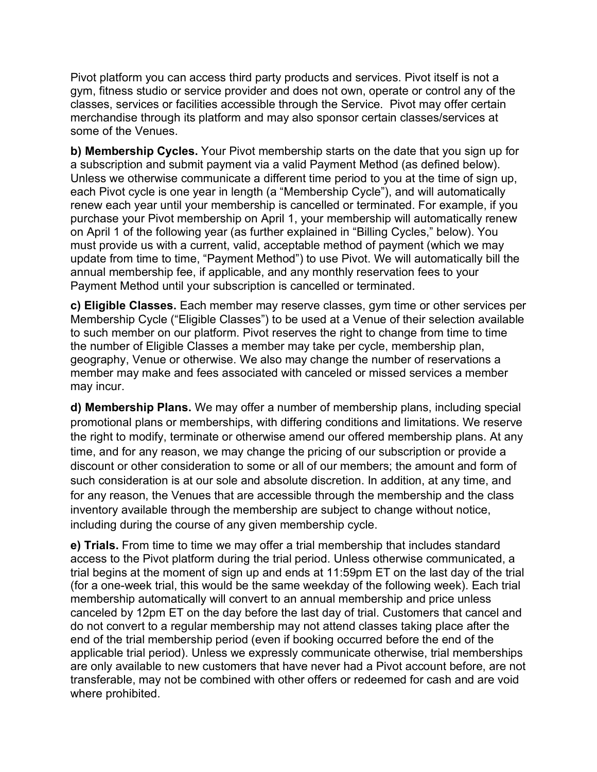Pivot platform you can access third party products and services. Pivot itself is not a gym, fitness studio or service provider and does not own, operate or control any of the classes, services or facilities accessible through the Service. Pivot may offer certain merchandise through its platform and may also sponsor certain classes/services at some of the Venues.

**b) Membership Cycles.** Your Pivot membership starts on the date that you sign up for a subscription and submit payment via a valid Payment Method (as defined below). Unless we otherwise communicate a different time period to you at the time of sign up, each Pivot cycle is one year in length (a "Membership Cycle"), and will automatically renew each year until your membership is cancelled or terminated. For example, if you purchase your Pivot membership on April 1, your membership will automatically renew on April 1 of the following year (as further explained in "Billing Cycles," below). You must provide us with a current, valid, acceptable method of payment (which we may update from time to time, "Payment Method") to use Pivot. We will automatically bill the annual membership fee, if applicable, and any monthly reservation fees to your Payment Method until your subscription is cancelled or terminated.

**c) Eligible Classes.** Each member may reserve classes, gym time or other services per Membership Cycle ("Eligible Classes") to be used at a Venue of their selection available to such member on our platform. Pivot reserves the right to change from time to time the number of Eligible Classes a member may take per cycle, membership plan, geography, Venue or otherwise. We also may change the number of reservations a member may make and fees associated with canceled or missed services a member may incur.

**d) Membership Plans.** We may offer a number of membership plans, including special promotional plans or memberships, with differing conditions and limitations. We reserve the right to modify, terminate or otherwise amend our offered membership plans. At any time, and for any reason, we may change the pricing of our subscription or provide a discount or other consideration to some or all of our members; the amount and form of such consideration is at our sole and absolute discretion. In addition, at any time, and for any reason, the Venues that are accessible through the membership and the class inventory available through the membership are subject to change without notice, including during the course of any given membership cycle.

**e) Trials.** From time to time we may offer a trial membership that includes standard access to the Pivot platform during the trial period. Unless otherwise communicated, a trial begins at the moment of sign up and ends at 11:59pm ET on the last day of the trial (for a one-week trial, this would be the same weekday of the following week). Each trial membership automatically will convert to an annual membership and price unless canceled by 12pm ET on the day before the last day of trial. Customers that cancel and do not convert to a regular membership may not attend classes taking place after the end of the trial membership period (even if booking occurred before the end of the applicable trial period). Unless we expressly communicate otherwise, trial memberships are only available to new customers that have never had a Pivot account before, are not transferable, may not be combined with other offers or redeemed for cash and are void where prohibited.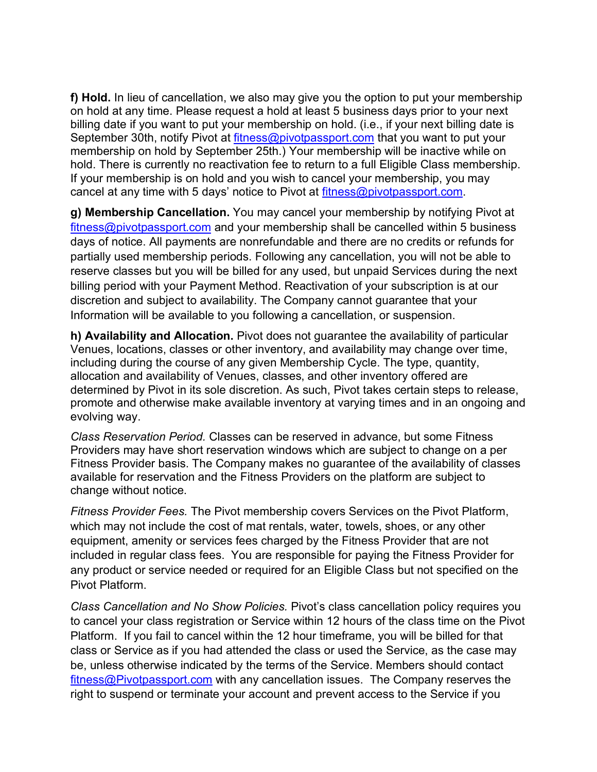**f) Hold.** In lieu of cancellation, we also may give you the option to put your membership on hold at any time. Please request a hold at least 5 business days prior to your next billing date if you want to put your membership on hold. (i.e., if your next billing date is September 30th, notify Pivot at fitness@pivotpassport.com that you want to put your membership on hold by September 25th.) Your membership will be inactive while on hold. There is currently no reactivation fee to return to a full Eligible Class membership. If your membership is on hold and you wish to cancel your membership, you may cancel at any time with 5 days' notice to Pivot at fitness@pivotpassport.com.

**g) Membership Cancellation.** You may cancel your membership by notifying Pivot at fitness@pivotpassport.com and your membership shall be cancelled within 5 business days of notice. All payments are nonrefundable and there are no credits or refunds for partially used membership periods. Following any cancellation, you will not be able to reserve classes but you will be billed for any used, but unpaid Services during the next billing period with your Payment Method. Reactivation of your subscription is at our discretion and subject to availability. The Company cannot guarantee that your Information will be available to you following a cancellation, or suspension.

**h) Availability and Allocation.** Pivot does not guarantee the availability of particular Venues, locations, classes or other inventory, and availability may change over time, including during the course of any given Membership Cycle. The type, quantity, allocation and availability of Venues, classes, and other inventory offered are determined by Pivot in its sole discretion. As such, Pivot takes certain steps to release, promote and otherwise make available inventory at varying times and in an ongoing and evolving way.

*Class Reservation Period.* Classes can be reserved in advance, but some Fitness Providers may have short reservation windows which are subject to change on a per Fitness Provider basis. The Company makes no guarantee of the availability of classes available for reservation and the Fitness Providers on the platform are subject to change without notice.

*Fitness Provider Fees.* The Pivot membership covers Services on the Pivot Platform, which may not include the cost of mat rentals, water, towels, shoes, or any other equipment, amenity or services fees charged by the Fitness Provider that are not included in regular class fees. You are responsible for paying the Fitness Provider for any product or service needed or required for an Eligible Class but not specified on the Pivot Platform.

*Class Cancellation and No Show Policies.* Pivot's class cancellation policy requires you to cancel your class registration or Service within 12 hours of the class time on the Pivot Platform. If you fail to cancel within the 12 hour timeframe, you will be billed for that class or Service as if you had attended the class or used the Service, as the case may be, unless otherwise indicated by the terms of the Service. Members should contact fitness@Pivotpassport.com with any cancellation issues. The Company reserves the right to suspend or terminate your account and prevent access to the Service if you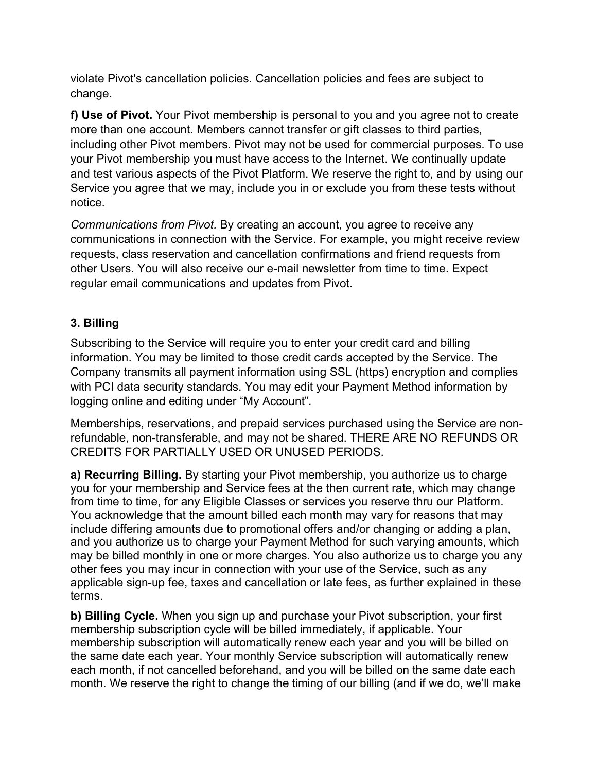violate Pivot's cancellation policies. Cancellation policies and fees are subject to change.

**f) Use of Pivot.** Your Pivot membership is personal to you and you agree not to create more than one account. Members cannot transfer or gift classes to third parties, including other Pivot members. Pivot may not be used for commercial purposes. To use your Pivot membership you must have access to the Internet. We continually update and test various aspects of the Pivot Platform. We reserve the right to, and by using our Service you agree that we may, include you in or exclude you from these tests without notice.

*Communications from Pivot.* By creating an account, you agree to receive any communications in connection with the Service. For example, you might receive review requests, class reservation and cancellation confirmations and friend requests from other Users. You will also receive our e-mail newsletter from time to time. Expect regular email communications and updates from Pivot.

## **3. Billing**

Subscribing to the Service will require you to enter your credit card and billing information. You may be limited to those credit cards accepted by the Service. The Company transmits all payment information using SSL (https) encryption and complies with PCI data security standards. You may edit your Payment Method information by logging online and editing under "My Account".

Memberships, reservations, and prepaid services purchased using the Service are nonrefundable, non-transferable, and may not be shared. THERE ARE NO REFUNDS OR CREDITS FOR PARTIALLY USED OR UNUSED PERIODS.

**a) Recurring Billing.** By starting your Pivot membership, you authorize us to charge you for your membership and Service fees at the then current rate, which may change from time to time, for any Eligible Classes or services you reserve thru our Platform. You acknowledge that the amount billed each month may vary for reasons that may include differing amounts due to promotional offers and/or changing or adding a plan, and you authorize us to charge your Payment Method for such varying amounts, which may be billed monthly in one or more charges. You also authorize us to charge you any other fees you may incur in connection with your use of the Service, such as any applicable sign-up fee, taxes and cancellation or late fees, as further explained in these terms.

**b) Billing Cycle.** When you sign up and purchase your Pivot subscription, your first membership subscription cycle will be billed immediately, if applicable. Your membership subscription will automatically renew each year and you will be billed on the same date each year. Your monthly Service subscription will automatically renew each month, if not cancelled beforehand, and you will be billed on the same date each month. We reserve the right to change the timing of our billing (and if we do, we'll make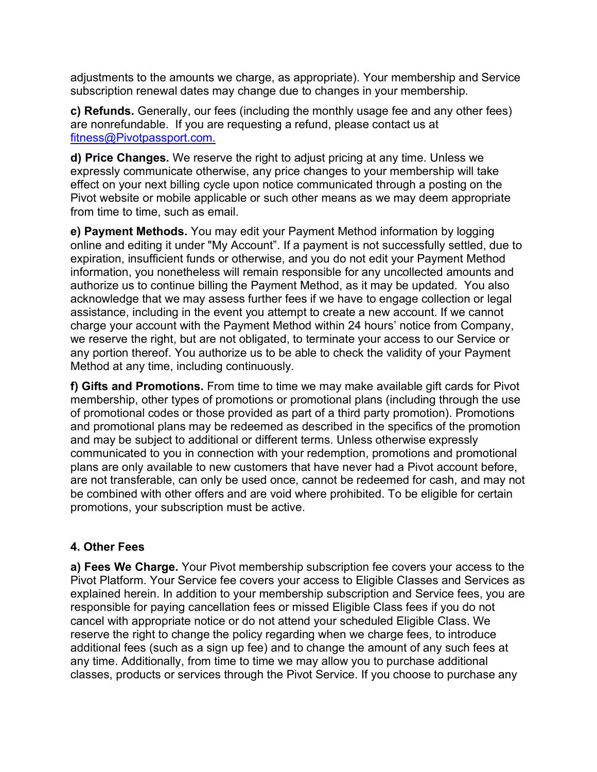adjustments to the amounts we charge, as appropriate). Your membership and Service subscription renewal dates may change due to changes in your membership.

**c) Refunds.** Generally, our fees (including the monthly usage fee and any other fees) are nonrefundable. If you are requesting a refund, please contact us at fitness@Pivotpassport.com.

**d) Price Changes.** We reserve the right to adjust pricing at any time. Unless we expressly communicate otherwise, any price changes to your membership will take effect on your next billing cycle upon notice communicated through a posting on the Pivot website or mobile applicable or such other means as we may deem appropriate from time to time, such as email.

**e) Payment Methods.** You may edit your Payment Method information by logging online and editing it under "My Account". If a payment is not successfully settled, due to expiration, insufficient funds or otherwise, and you do not edit your Payment Method information, you nonetheless will remain responsible for any uncollected amounts and authorize us to continue billing the Payment Method, as it may be updated. You also acknowledge that we may assess further fees if we have to engage collection or legal assistance, including in the event you attempt to create a new account. If we cannot charge your account with the Payment Method within 24 hours' notice from Company, we reserve the right, but are not obligated, to terminate your access to our Service or any portion thereof. You authorize us to be able to check the validity of your Payment Method at any time, including continuously.

**f) Gifts and Promotions.** From time to time we may make available gift cards for Pivot membership, other types of promotions or promotional plans (including through the use of promotional codes or those provided as part of a third party promotion). Promotions and promotional plans may be redeemed as described in the specifics of the promotion and may be subject to additional or different terms. Unless otherwise expressly communicated to you in connection with your redemption, promotions and promotional plans are only available to new customers that have never had a Pivot account before, are not transferable, can only be used once, cannot be redeemed for cash, and may not be combined with other offers and are void where prohibited. To be eligible for certain promotions, your subscription must be active.

## **4. Other Fees**

**a) Fees We Charge.** Your Pivot membership subscription fee covers your access to the Pivot Platform. Your Service fee covers your access to Eligible Classes and Services as explained herein. In addition to your membership subscription and Service fees, you are responsible for paying cancellation fees or missed Eligible Class fees if you do not cancel with appropriate notice or do not attend your scheduled Eligible Class. We reserve the right to change the policy regarding when we charge fees, to introduce additional fees (such as a sign up fee) and to change the amount of any such fees at any time. Additionally, from time to time we may allow you to purchase additional classes, products or services through the Pivot Service. If you choose to purchase any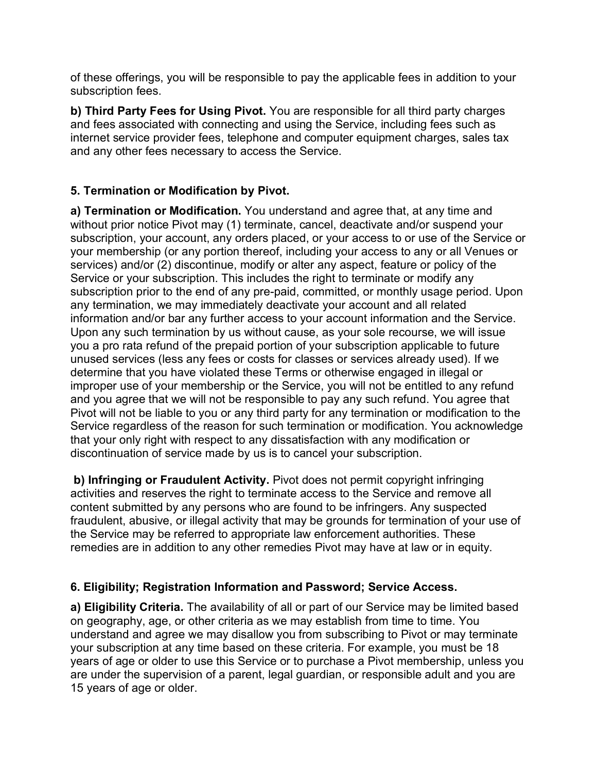of these offerings, you will be responsible to pay the applicable fees in addition to your subscription fees.

**b) Third Party Fees for Using Pivot.** You are responsible for all third party charges and fees associated with connecting and using the Service, including fees such as internet service provider fees, telephone and computer equipment charges, sales tax and any other fees necessary to access the Service.

## **5. Termination or Modification by Pivot.**

**a) Termination or Modification.** You understand and agree that, at any time and without prior notice Pivot may (1) terminate, cancel, deactivate and/or suspend your subscription, your account, any orders placed, or your access to or use of the Service or your membership (or any portion thereof, including your access to any or all Venues or services) and/or (2) discontinue, modify or alter any aspect, feature or policy of the Service or your subscription. This includes the right to terminate or modify any subscription prior to the end of any pre-paid, committed, or monthly usage period. Upon any termination, we may immediately deactivate your account and all related information and/or bar any further access to your account information and the Service. Upon any such termination by us without cause, as your sole recourse, we will issue you a pro rata refund of the prepaid portion of your subscription applicable to future unused services (less any fees or costs for classes or services already used). If we determine that you have violated these Terms or otherwise engaged in illegal or improper use of your membership or the Service, you will not be entitled to any refund and you agree that we will not be responsible to pay any such refund. You agree that Pivot will not be liable to you or any third party for any termination or modification to the Service regardless of the reason for such termination or modification. You acknowledge that your only right with respect to any dissatisfaction with any modification or discontinuation of service made by us is to cancel your subscription.

**b) Infringing or Fraudulent Activity.** Pivot does not permit copyright infringing activities and reserves the right to terminate access to the Service and remove all content submitted by any persons who are found to be infringers. Any suspected fraudulent, abusive, or illegal activity that may be grounds for termination of your use of the Service may be referred to appropriate law enforcement authorities. These remedies are in addition to any other remedies Pivot may have at law or in equity.

## **6. Eligibility; Registration Information and Password; Service Access.**

**a) Eligibility Criteria.** The availability of all or part of our Service may be limited based on geography, age, or other criteria as we may establish from time to time. You understand and agree we may disallow you from subscribing to Pivot or may terminate your subscription at any time based on these criteria. For example, you must be 18 years of age or older to use this Service or to purchase a Pivot membership, unless you are under the supervision of a parent, legal guardian, or responsible adult and you are 15 years of age or older.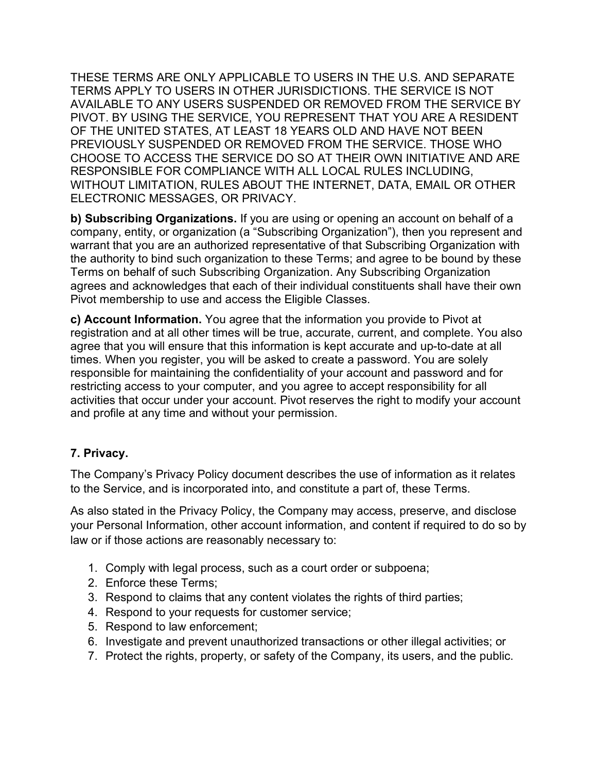THESE TERMS ARE ONLY APPLICABLE TO USERS IN THE U.S. AND SEPARATE TERMS APPLY TO USERS IN OTHER JURISDICTIONS. THE SERVICE IS NOT AVAILABLE TO ANY USERS SUSPENDED OR REMOVED FROM THE SERVICE BY PIVOT. BY USING THE SERVICE, YOU REPRESENT THAT YOU ARE A RESIDENT OF THE UNITED STATES, AT LEAST 18 YEARS OLD AND HAVE NOT BEEN PREVIOUSLY SUSPENDED OR REMOVED FROM THE SERVICE. THOSE WHO CHOOSE TO ACCESS THE SERVICE DO SO AT THEIR OWN INITIATIVE AND ARE RESPONSIBLE FOR COMPLIANCE WITH ALL LOCAL RULES INCLUDING, WITHOUT LIMITATION, RULES ABOUT THE INTERNET, DATA, EMAIL OR OTHER ELECTRONIC MESSAGES, OR PRIVACY.

**b) Subscribing Organizations.** If you are using or opening an account on behalf of a company, entity, or organization (a "Subscribing Organization"), then you represent and warrant that you are an authorized representative of that Subscribing Organization with the authority to bind such organization to these Terms; and agree to be bound by these Terms on behalf of such Subscribing Organization. Any Subscribing Organization agrees and acknowledges that each of their individual constituents shall have their own Pivot membership to use and access the Eligible Classes.

**c) Account Information.** You agree that the information you provide to Pivot at registration and at all other times will be true, accurate, current, and complete. You also agree that you will ensure that this information is kept accurate and up-to-date at all times. When you register, you will be asked to create a password. You are solely responsible for maintaining the confidentiality of your account and password and for restricting access to your computer, and you agree to accept responsibility for all activities that occur under your account. Pivot reserves the right to modify your account and profile at any time and without your permission.

## **7. Privacy.**

The Company's Privacy Policy document describes the use of information as it relates to the Service, and is incorporated into, and constitute a part of, these Terms.

As also stated in the Privacy Policy, the Company may access, preserve, and disclose your Personal Information, other account information, and content if required to do so by law or if those actions are reasonably necessary to:

- 1. Comply with legal process, such as a court order or subpoena;
- 2. Enforce these Terms;
- 3. Respond to claims that any content violates the rights of third parties;
- 4. Respond to your requests for customer service;
- 5. Respond to law enforcement;
- 6. Investigate and prevent unauthorized transactions or other illegal activities; or
- 7. Protect the rights, property, or safety of the Company, its users, and the public.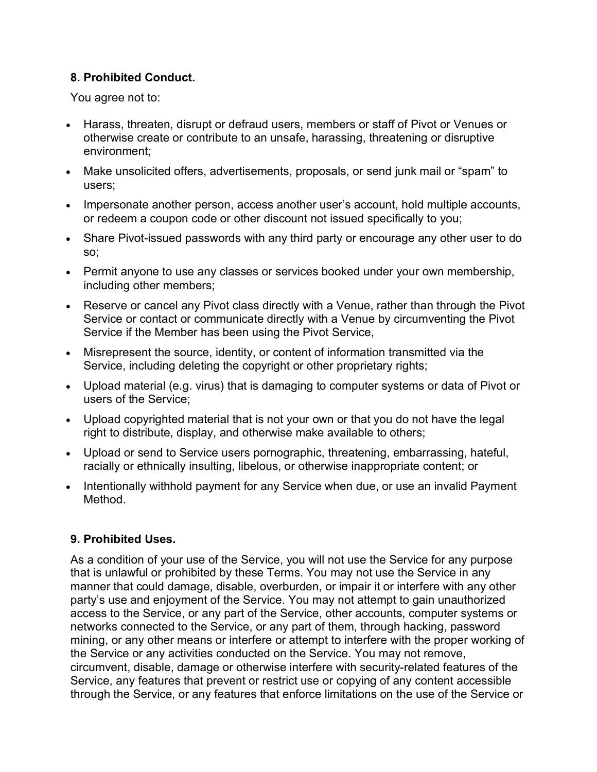## **8. Prohibited Conduct.**

You agree not to:

- Harass, threaten, disrupt or defraud users, members or staff of Pivot or Venues or otherwise create or contribute to an unsafe, harassing, threatening or disruptive environment;
- Make unsolicited offers, advertisements, proposals, or send junk mail or "spam" to users;
- Impersonate another person, access another user's account, hold multiple accounts, or redeem a coupon code or other discount not issued specifically to you;
- Share Pivot-issued passwords with any third party or encourage any other user to do so;
- Permit anyone to use any classes or services booked under your own membership, including other members;
- Reserve or cancel any Pivot class directly with a Venue, rather than through the Pivot Service or contact or communicate directly with a Venue by circumventing the Pivot Service if the Member has been using the Pivot Service,
- Misrepresent the source, identity, or content of information transmitted via the Service, including deleting the copyright or other proprietary rights;
- Upload material (e.g. virus) that is damaging to computer systems or data of Pivot or users of the Service;
- Upload copyrighted material that is not your own or that you do not have the legal right to distribute, display, and otherwise make available to others;
- Upload or send to Service users pornographic, threatening, embarrassing, hateful, racially or ethnically insulting, libelous, or otherwise inappropriate content; or
- Intentionally withhold payment for any Service when due, or use an invalid Payment Method.

# **9. Prohibited Uses.**

As a condition of your use of the Service, you will not use the Service for any purpose that is unlawful or prohibited by these Terms. You may not use the Service in any manner that could damage, disable, overburden, or impair it or interfere with any other party's use and enjoyment of the Service. You may not attempt to gain unauthorized access to the Service, or any part of the Service, other accounts, computer systems or networks connected to the Service, or any part of them, through hacking, password mining, or any other means or interfere or attempt to interfere with the proper working of the Service or any activities conducted on the Service. You may not remove, circumvent, disable, damage or otherwise interfere with security-related features of the Service, any features that prevent or restrict use or copying of any content accessible through the Service, or any features that enforce limitations on the use of the Service or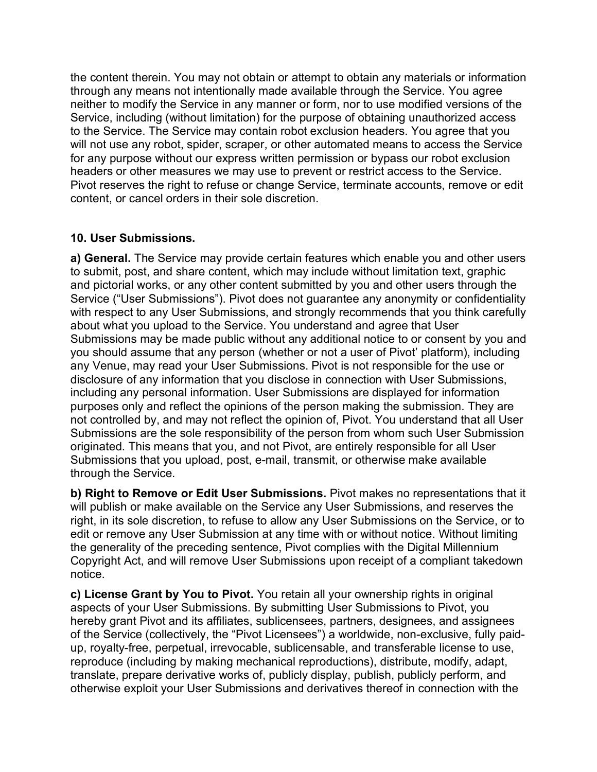the content therein. You may not obtain or attempt to obtain any materials or information through any means not intentionally made available through the Service. You agree neither to modify the Service in any manner or form, nor to use modified versions of the Service, including (without limitation) for the purpose of obtaining unauthorized access to the Service. The Service may contain robot exclusion headers. You agree that you will not use any robot, spider, scraper, or other automated means to access the Service for any purpose without our express written permission or bypass our robot exclusion headers or other measures we may use to prevent or restrict access to the Service. Pivot reserves the right to refuse or change Service, terminate accounts, remove or edit content, or cancel orders in their sole discretion.

#### **10. User Submissions.**

**a) General.** The Service may provide certain features which enable you and other users to submit, post, and share content, which may include without limitation text, graphic and pictorial works, or any other content submitted by you and other users through the Service ("User Submissions"). Pivot does not guarantee any anonymity or confidentiality with respect to any User Submissions, and strongly recommends that you think carefully about what you upload to the Service. You understand and agree that User Submissions may be made public without any additional notice to or consent by you and you should assume that any person (whether or not a user of Pivot' platform), including any Venue, may read your User Submissions. Pivot is not responsible for the use or disclosure of any information that you disclose in connection with User Submissions, including any personal information. User Submissions are displayed for information purposes only and reflect the opinions of the person making the submission. They are not controlled by, and may not reflect the opinion of, Pivot. You understand that all User Submissions are the sole responsibility of the person from whom such User Submission originated. This means that you, and not Pivot, are entirely responsible for all User Submissions that you upload, post, e-mail, transmit, or otherwise make available through the Service.

**b) Right to Remove or Edit User Submissions.** Pivot makes no representations that it will publish or make available on the Service any User Submissions, and reserves the right, in its sole discretion, to refuse to allow any User Submissions on the Service, or to edit or remove any User Submission at any time with or without notice. Without limiting the generality of the preceding sentence, Pivot complies with the Digital Millennium Copyright Act, and will remove User Submissions upon receipt of a compliant takedown notice.

**c) License Grant by You to Pivot.** You retain all your ownership rights in original aspects of your User Submissions. By submitting User Submissions to Pivot, you hereby grant Pivot and its affiliates, sublicensees, partners, designees, and assignees of the Service (collectively, the "Pivot Licensees") a worldwide, non-exclusive, fully paidup, royalty-free, perpetual, irrevocable, sublicensable, and transferable license to use, reproduce (including by making mechanical reproductions), distribute, modify, adapt, translate, prepare derivative works of, publicly display, publish, publicly perform, and otherwise exploit your User Submissions and derivatives thereof in connection with the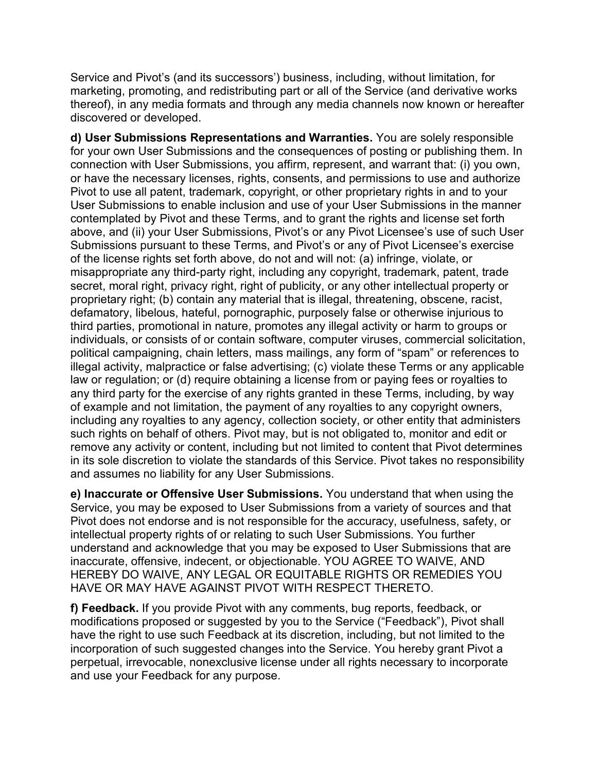Service and Pivot's (and its successors') business, including, without limitation, for marketing, promoting, and redistributing part or all of the Service (and derivative works thereof), in any media formats and through any media channels now known or hereafter discovered or developed.

**d) User Submissions Representations and Warranties.** You are solely responsible for your own User Submissions and the consequences of posting or publishing them. In connection with User Submissions, you affirm, represent, and warrant that: (i) you own, or have the necessary licenses, rights, consents, and permissions to use and authorize Pivot to use all patent, trademark, copyright, or other proprietary rights in and to your User Submissions to enable inclusion and use of your User Submissions in the manner contemplated by Pivot and these Terms, and to grant the rights and license set forth above, and (ii) your User Submissions, Pivot's or any Pivot Licensee's use of such User Submissions pursuant to these Terms, and Pivot's or any of Pivot Licensee's exercise of the license rights set forth above, do not and will not: (a) infringe, violate, or misappropriate any third-party right, including any copyright, trademark, patent, trade secret, moral right, privacy right, right of publicity, or any other intellectual property or proprietary right; (b) contain any material that is illegal, threatening, obscene, racist, defamatory, libelous, hateful, pornographic, purposely false or otherwise injurious to third parties, promotional in nature, promotes any illegal activity or harm to groups or individuals, or consists of or contain software, computer viruses, commercial solicitation, political campaigning, chain letters, mass mailings, any form of "spam" or references to illegal activity, malpractice or false advertising; (c) violate these Terms or any applicable law or regulation; or (d) require obtaining a license from or paying fees or royalties to any third party for the exercise of any rights granted in these Terms, including, by way of example and not limitation, the payment of any royalties to any copyright owners, including any royalties to any agency, collection society, or other entity that administers such rights on behalf of others. Pivot may, but is not obligated to, monitor and edit or remove any activity or content, including but not limited to content that Pivot determines in its sole discretion to violate the standards of this Service. Pivot takes no responsibility and assumes no liability for any User Submissions.

**e) Inaccurate or Offensive User Submissions.** You understand that when using the Service, you may be exposed to User Submissions from a variety of sources and that Pivot does not endorse and is not responsible for the accuracy, usefulness, safety, or intellectual property rights of or relating to such User Submissions. You further understand and acknowledge that you may be exposed to User Submissions that are inaccurate, offensive, indecent, or objectionable. YOU AGREE TO WAIVE, AND HEREBY DO WAIVE, ANY LEGAL OR EQUITABLE RIGHTS OR REMEDIES YOU HAVE OR MAY HAVE AGAINST PIVOT WITH RESPECT THERETO.

**f) Feedback.** If you provide Pivot with any comments, bug reports, feedback, or modifications proposed or suggested by you to the Service ("Feedback"), Pivot shall have the right to use such Feedback at its discretion, including, but not limited to the incorporation of such suggested changes into the Service. You hereby grant Pivot a perpetual, irrevocable, nonexclusive license under all rights necessary to incorporate and use your Feedback for any purpose.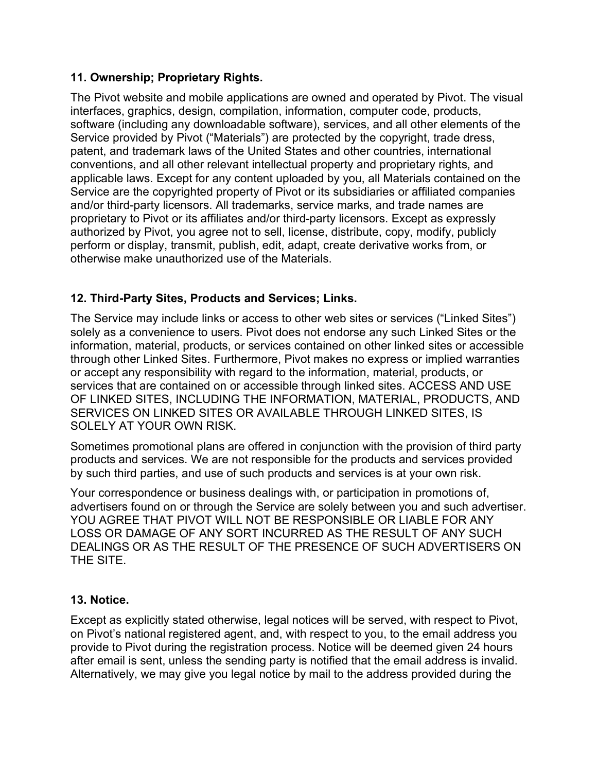#### **11. Ownership; Proprietary Rights.**

The Pivot website and mobile applications are owned and operated by Pivot. The visual interfaces, graphics, design, compilation, information, computer code, products, software (including any downloadable software), services, and all other elements of the Service provided by Pivot ("Materials") are protected by the copyright, trade dress, patent, and trademark laws of the United States and other countries, international conventions, and all other relevant intellectual property and proprietary rights, and applicable laws. Except for any content uploaded by you, all Materials contained on the Service are the copyrighted property of Pivot or its subsidiaries or affiliated companies and/or third-party licensors. All trademarks, service marks, and trade names are proprietary to Pivot or its affiliates and/or third-party licensors. Except as expressly authorized by Pivot, you agree not to sell, license, distribute, copy, modify, publicly perform or display, transmit, publish, edit, adapt, create derivative works from, or otherwise make unauthorized use of the Materials.

## **12. Third-Party Sites, Products and Services; Links.**

The Service may include links or access to other web sites or services ("Linked Sites") solely as a convenience to users. Pivot does not endorse any such Linked Sites or the information, material, products, or services contained on other linked sites or accessible through other Linked Sites. Furthermore, Pivot makes no express or implied warranties or accept any responsibility with regard to the information, material, products, or services that are contained on or accessible through linked sites. ACCESS AND USE OF LINKED SITES, INCLUDING THE INFORMATION, MATERIAL, PRODUCTS, AND SERVICES ON LINKED SITES OR AVAILABLE THROUGH LINKED SITES, IS SOLELY AT YOUR OWN RISK.

Sometimes promotional plans are offered in conjunction with the provision of third party products and services. We are not responsible for the products and services provided by such third parties, and use of such products and services is at your own risk.

Your correspondence or business dealings with, or participation in promotions of, advertisers found on or through the Service are solely between you and such advertiser. YOU AGREE THAT PIVOT WILL NOT BE RESPONSIBLE OR LIABLE FOR ANY LOSS OR DAMAGE OF ANY SORT INCURRED AS THE RESULT OF ANY SUCH DEALINGS OR AS THE RESULT OF THE PRESENCE OF SUCH ADVERTISERS ON THE SITE.

## **13. Notice.**

Except as explicitly stated otherwise, legal notices will be served, with respect to Pivot, on Pivot's national registered agent, and, with respect to you, to the email address you provide to Pivot during the registration process. Notice will be deemed given 24 hours after email is sent, unless the sending party is notified that the email address is invalid. Alternatively, we may give you legal notice by mail to the address provided during the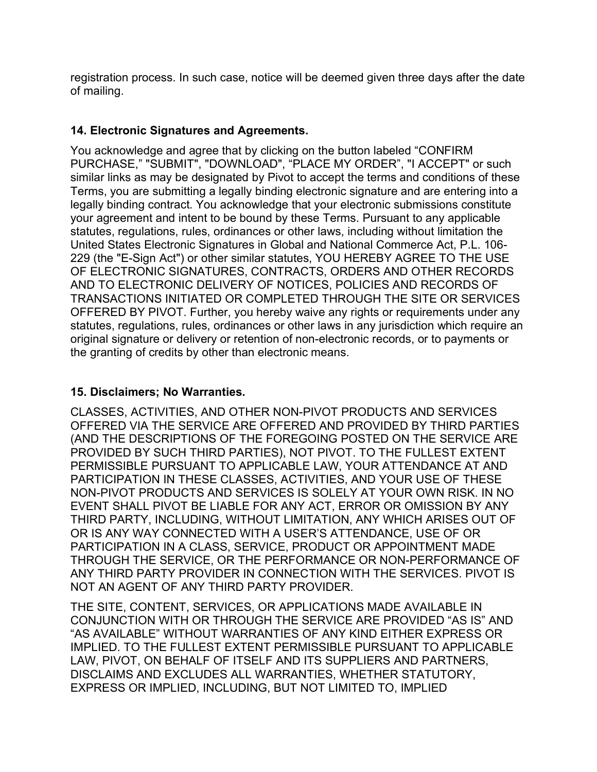registration process. In such case, notice will be deemed given three days after the date of mailing.

#### **14. Electronic Signatures and Agreements.**

You acknowledge and agree that by clicking on the button labeled "CONFIRM PURCHASE," "SUBMIT", "DOWNLOAD", "PLACE MY ORDER", "I ACCEPT" or such similar links as may be designated by Pivot to accept the terms and conditions of these Terms, you are submitting a legally binding electronic signature and are entering into a legally binding contract. You acknowledge that your electronic submissions constitute your agreement and intent to be bound by these Terms. Pursuant to any applicable statutes, regulations, rules, ordinances or other laws, including without limitation the United States Electronic Signatures in Global and National Commerce Act, P.L. 106- 229 (the "E-Sign Act") or other similar statutes, YOU HEREBY AGREE TO THE USE OF ELECTRONIC SIGNATURES, CONTRACTS, ORDERS AND OTHER RECORDS AND TO ELECTRONIC DELIVERY OF NOTICES, POLICIES AND RECORDS OF TRANSACTIONS INITIATED OR COMPLETED THROUGH THE SITE OR SERVICES OFFERED BY PIVOT. Further, you hereby waive any rights or requirements under any statutes, regulations, rules, ordinances or other laws in any jurisdiction which require an original signature or delivery or retention of non-electronic records, or to payments or the granting of credits by other than electronic means.

## **15. Disclaimers; No Warranties.**

CLASSES, ACTIVITIES, AND OTHER NON-PIVOT PRODUCTS AND SERVICES OFFERED VIA THE SERVICE ARE OFFERED AND PROVIDED BY THIRD PARTIES (AND THE DESCRIPTIONS OF THE FOREGOING POSTED ON THE SERVICE ARE PROVIDED BY SUCH THIRD PARTIES), NOT PIVOT. TO THE FULLEST EXTENT PERMISSIBLE PURSUANT TO APPLICABLE LAW, YOUR ATTENDANCE AT AND PARTICIPATION IN THESE CLASSES, ACTIVITIES, AND YOUR USE OF THESE NON-PIVOT PRODUCTS AND SERVICES IS SOLELY AT YOUR OWN RISK. IN NO EVENT SHALL PIVOT BE LIABLE FOR ANY ACT, ERROR OR OMISSION BY ANY THIRD PARTY, INCLUDING, WITHOUT LIMITATION, ANY WHICH ARISES OUT OF OR IS ANY WAY CONNECTED WITH A USER'S ATTENDANCE, USE OF OR PARTICIPATION IN A CLASS, SERVICE, PRODUCT OR APPOINTMENT MADE THROUGH THE SERVICE, OR THE PERFORMANCE OR NON-PERFORMANCE OF ANY THIRD PARTY PROVIDER IN CONNECTION WITH THE SERVICES. PIVOT IS NOT AN AGENT OF ANY THIRD PARTY PROVIDER.

THE SITE, CONTENT, SERVICES, OR APPLICATIONS MADE AVAILABLE IN CONJUNCTION WITH OR THROUGH THE SERVICE ARE PROVIDED "AS IS" AND "AS AVAILABLE" WITHOUT WARRANTIES OF ANY KIND EITHER EXPRESS OR IMPLIED. TO THE FULLEST EXTENT PERMISSIBLE PURSUANT TO APPLICABLE LAW, PIVOT, ON BEHALF OF ITSELF AND ITS SUPPLIERS AND PARTNERS, DISCLAIMS AND EXCLUDES ALL WARRANTIES, WHETHER STATUTORY, EXPRESS OR IMPLIED, INCLUDING, BUT NOT LIMITED TO, IMPLIED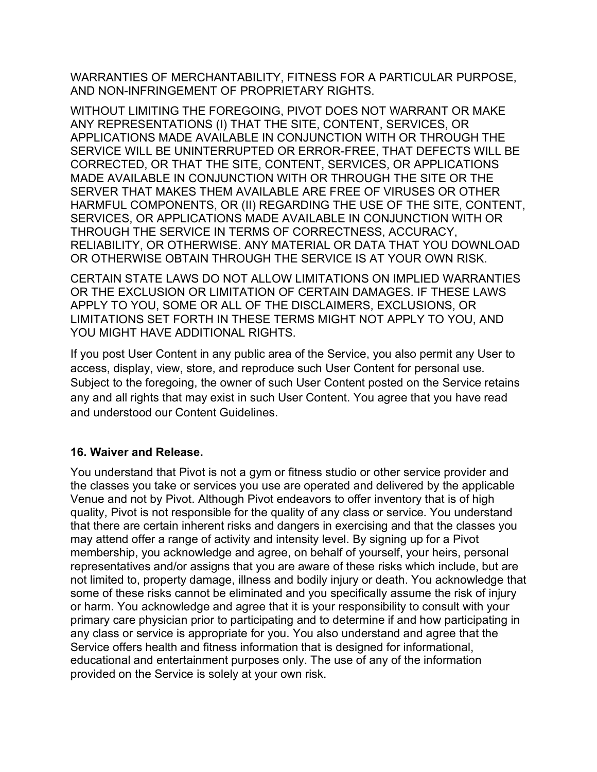WARRANTIES OF MERCHANTABILITY, FITNESS FOR A PARTICULAR PURPOSE, AND NON-INFRINGEMENT OF PROPRIETARY RIGHTS.

WITHOUT LIMITING THE FOREGOING, PIVOT DOES NOT WARRANT OR MAKE ANY REPRESENTATIONS (I) THAT THE SITE, CONTENT, SERVICES, OR APPLICATIONS MADE AVAILABLE IN CONJUNCTION WITH OR THROUGH THE SERVICE WILL BE UNINTERRUPTED OR ERROR-FREE, THAT DEFECTS WILL BE CORRECTED, OR THAT THE SITE, CONTENT, SERVICES, OR APPLICATIONS MADE AVAILABLE IN CONJUNCTION WITH OR THROUGH THE SITE OR THE SERVER THAT MAKES THEM AVAILABLE ARE FREE OF VIRUSES OR OTHER HARMFUL COMPONENTS, OR (II) REGARDING THE USE OF THE SITE, CONTENT, SERVICES, OR APPLICATIONS MADE AVAILABLE IN CONJUNCTION WITH OR THROUGH THE SERVICE IN TERMS OF CORRECTNESS, ACCURACY, RELIABILITY, OR OTHERWISE. ANY MATERIAL OR DATA THAT YOU DOWNLOAD OR OTHERWISE OBTAIN THROUGH THE SERVICE IS AT YOUR OWN RISK.

CERTAIN STATE LAWS DO NOT ALLOW LIMITATIONS ON IMPLIED WARRANTIES OR THE EXCLUSION OR LIMITATION OF CERTAIN DAMAGES. IF THESE LAWS APPLY TO YOU, SOME OR ALL OF THE DISCLAIMERS, EXCLUSIONS, OR LIMITATIONS SET FORTH IN THESE TERMS MIGHT NOT APPLY TO YOU, AND YOU MIGHT HAVE ADDITIONAL RIGHTS.

If you post User Content in any public area of the Service, you also permit any User to access, display, view, store, and reproduce such User Content for personal use. Subject to the foregoing, the owner of such User Content posted on the Service retains any and all rights that may exist in such User Content. You agree that you have read and understood our Content Guidelines.

## **16. Waiver and Release.**

You understand that Pivot is not a gym or fitness studio or other service provider and the classes you take or services you use are operated and delivered by the applicable Venue and not by Pivot. Although Pivot endeavors to offer inventory that is of high quality, Pivot is not responsible for the quality of any class or service. You understand that there are certain inherent risks and dangers in exercising and that the classes you may attend offer a range of activity and intensity level. By signing up for a Pivot membership, you acknowledge and agree, on behalf of yourself, your heirs, personal representatives and/or assigns that you are aware of these risks which include, but are not limited to, property damage, illness and bodily injury or death. You acknowledge that some of these risks cannot be eliminated and you specifically assume the risk of injury or harm. You acknowledge and agree that it is your responsibility to consult with your primary care physician prior to participating and to determine if and how participating in any class or service is appropriate for you. You also understand and agree that the Service offers health and fitness information that is designed for informational, educational and entertainment purposes only. The use of any of the information provided on the Service is solely at your own risk.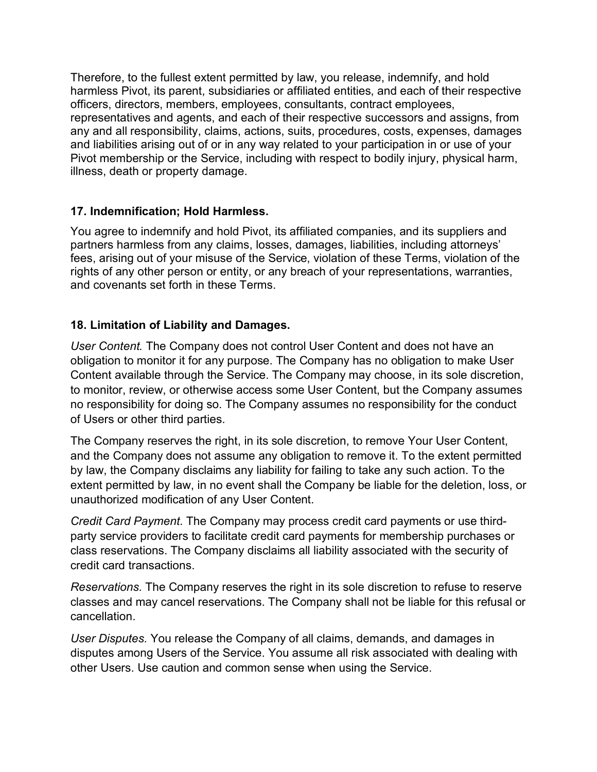Therefore, to the fullest extent permitted by law, you release, indemnify, and hold harmless Pivot, its parent, subsidiaries or affiliated entities, and each of their respective officers, directors, members, employees, consultants, contract employees, representatives and agents, and each of their respective successors and assigns, from any and all responsibility, claims, actions, suits, procedures, costs, expenses, damages and liabilities arising out of or in any way related to your participation in or use of your Pivot membership or the Service, including with respect to bodily injury, physical harm, illness, death or property damage.

#### **17. Indemnification; Hold Harmless.**

You agree to indemnify and hold Pivot, its affiliated companies, and its suppliers and partners harmless from any claims, losses, damages, liabilities, including attorneys' fees, arising out of your misuse of the Service, violation of these Terms, violation of the rights of any other person or entity, or any breach of your representations, warranties, and covenants set forth in these Terms.

#### **18. Limitation of Liability and Damages.**

*User Content.* The Company does not control User Content and does not have an obligation to monitor it for any purpose. The Company has no obligation to make User Content available through the Service. The Company may choose, in its sole discretion, to monitor, review, or otherwise access some User Content, but the Company assumes no responsibility for doing so. The Company assumes no responsibility for the conduct of Users or other third parties.

The Company reserves the right, in its sole discretion, to remove Your User Content, and the Company does not assume any obligation to remove it. To the extent permitted by law, the Company disclaims any liability for failing to take any such action. To the extent permitted by law, in no event shall the Company be liable for the deletion, loss, or unauthorized modification of any User Content.

*Credit Card Payment.* The Company may process credit card payments or use thirdparty service providers to facilitate credit card payments for membership purchases or class reservations. The Company disclaims all liability associated with the security of credit card transactions.

*Reservations.* The Company reserves the right in its sole discretion to refuse to reserve classes and may cancel reservations. The Company shall not be liable for this refusal or cancellation.

*User Disputes.* You release the Company of all claims, demands, and damages in disputes among Users of the Service. You assume all risk associated with dealing with other Users. Use caution and common sense when using the Service.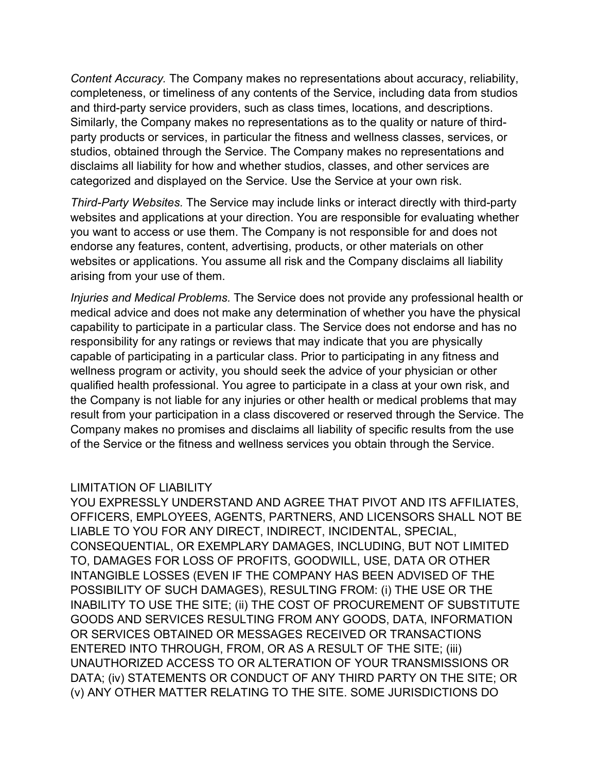*Content Accuracy.* The Company makes no representations about accuracy, reliability, completeness, or timeliness of any contents of the Service, including data from studios and third-party service providers, such as class times, locations, and descriptions. Similarly, the Company makes no representations as to the quality or nature of thirdparty products or services, in particular the fitness and wellness classes, services, or studios, obtained through the Service. The Company makes no representations and disclaims all liability for how and whether studios, classes, and other services are categorized and displayed on the Service. Use the Service at your own risk.

*Third-Party Websites.* The Service may include links or interact directly with third-party websites and applications at your direction. You are responsible for evaluating whether you want to access or use them. The Company is not responsible for and does not endorse any features, content, advertising, products, or other materials on other websites or applications. You assume all risk and the Company disclaims all liability arising from your use of them.

*Injuries and Medical Problems.* The Service does not provide any professional health or medical advice and does not make any determination of whether you have the physical capability to participate in a particular class. The Service does not endorse and has no responsibility for any ratings or reviews that may indicate that you are physically capable of participating in a particular class. Prior to participating in any fitness and wellness program or activity, you should seek the advice of your physician or other qualified health professional. You agree to participate in a class at your own risk, and the Company is not liable for any injuries or other health or medical problems that may result from your participation in a class discovered or reserved through the Service. The Company makes no promises and disclaims all liability of specific results from the use of the Service or the fitness and wellness services you obtain through the Service.

#### LIMITATION OF LIABILITY

YOU EXPRESSLY UNDERSTAND AND AGREE THAT PIVOT AND ITS AFFILIATES, OFFICERS, EMPLOYEES, AGENTS, PARTNERS, AND LICENSORS SHALL NOT BE LIABLE TO YOU FOR ANY DIRECT, INDIRECT, INCIDENTAL, SPECIAL, CONSEQUENTIAL, OR EXEMPLARY DAMAGES, INCLUDING, BUT NOT LIMITED TO, DAMAGES FOR LOSS OF PROFITS, GOODWILL, USE, DATA OR OTHER INTANGIBLE LOSSES (EVEN IF THE COMPANY HAS BEEN ADVISED OF THE POSSIBILITY OF SUCH DAMAGES), RESULTING FROM: (i) THE USE OR THE INABILITY TO USE THE SITE; (ii) THE COST OF PROCUREMENT OF SUBSTITUTE GOODS AND SERVICES RESULTING FROM ANY GOODS, DATA, INFORMATION OR SERVICES OBTAINED OR MESSAGES RECEIVED OR TRANSACTIONS ENTERED INTO THROUGH, FROM, OR AS A RESULT OF THE SITE; (iii) UNAUTHORIZED ACCESS TO OR ALTERATION OF YOUR TRANSMISSIONS OR DATA; (iv) STATEMENTS OR CONDUCT OF ANY THIRD PARTY ON THE SITE; OR (v) ANY OTHER MATTER RELATING TO THE SITE. SOME JURISDICTIONS DO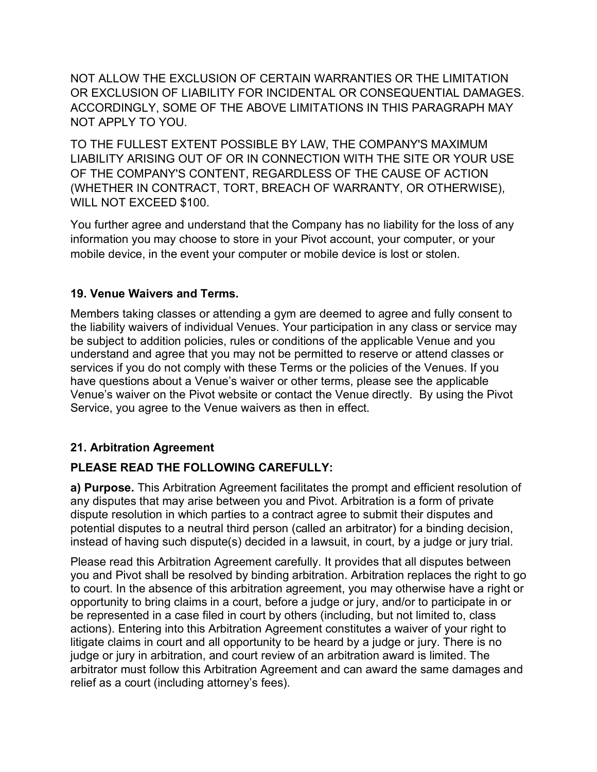NOT ALLOW THE EXCLUSION OF CERTAIN WARRANTIES OR THE LIMITATION OR EXCLUSION OF LIABILITY FOR INCIDENTAL OR CONSEQUENTIAL DAMAGES. ACCORDINGLY, SOME OF THE ABOVE LIMITATIONS IN THIS PARAGRAPH MAY NOT APPLY TO YOU.

TO THE FULLEST EXTENT POSSIBLE BY LAW, THE COMPANY'S MAXIMUM LIABILITY ARISING OUT OF OR IN CONNECTION WITH THE SITE OR YOUR USE OF THE COMPANY'S CONTENT, REGARDLESS OF THE CAUSE OF ACTION (WHETHER IN CONTRACT, TORT, BREACH OF WARRANTY, OR OTHERWISE), WILL NOT EXCEED \$100.

You further agree and understand that the Company has no liability for the loss of any information you may choose to store in your Pivot account, your computer, or your mobile device, in the event your computer or mobile device is lost or stolen.

#### **19. Venue Waivers and Terms.**

Members taking classes or attending a gym are deemed to agree and fully consent to the liability waivers of individual Venues. Your participation in any class or service may be subject to addition policies, rules or conditions of the applicable Venue and you understand and agree that you may not be permitted to reserve or attend classes or services if you do not comply with these Terms or the policies of the Venues. If you have questions about a Venue's waiver or other terms, please see the applicable Venue's waiver on the Pivot website or contact the Venue directly. By using the Pivot Service, you agree to the Venue waivers as then in effect.

## **21. Arbitration Agreement**

## **PLEASE READ THE FOLLOWING CAREFULLY:**

**a) Purpose.** This Arbitration Agreement facilitates the prompt and efficient resolution of any disputes that may arise between you and Pivot. Arbitration is a form of private dispute resolution in which parties to a contract agree to submit their disputes and potential disputes to a neutral third person (called an arbitrator) for a binding decision, instead of having such dispute(s) decided in a lawsuit, in court, by a judge or jury trial.

Please read this Arbitration Agreement carefully. It provides that all disputes between you and Pivot shall be resolved by binding arbitration. Arbitration replaces the right to go to court. In the absence of this arbitration agreement, you may otherwise have a right or opportunity to bring claims in a court, before a judge or jury, and/or to participate in or be represented in a case filed in court by others (including, but not limited to, class actions). Entering into this Arbitration Agreement constitutes a waiver of your right to litigate claims in court and all opportunity to be heard by a judge or jury. There is no judge or jury in arbitration, and court review of an arbitration award is limited. The arbitrator must follow this Arbitration Agreement and can award the same damages and relief as a court (including attorney's fees).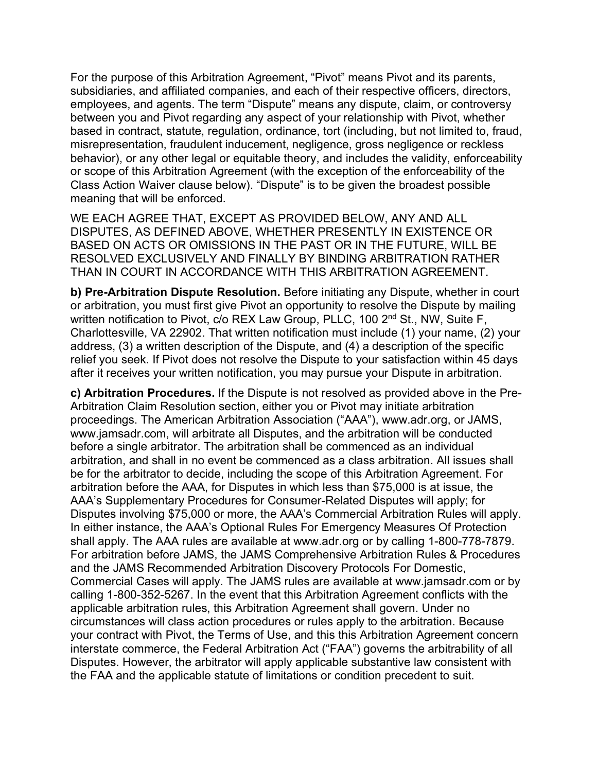For the purpose of this Arbitration Agreement, "Pivot" means Pivot and its parents, subsidiaries, and affiliated companies, and each of their respective officers, directors, employees, and agents. The term "Dispute" means any dispute, claim, or controversy between you and Pivot regarding any aspect of your relationship with Pivot, whether based in contract, statute, regulation, ordinance, tort (including, but not limited to, fraud, misrepresentation, fraudulent inducement, negligence, gross negligence or reckless behavior), or any other legal or equitable theory, and includes the validity, enforceability or scope of this Arbitration Agreement (with the exception of the enforceability of the Class Action Waiver clause below). "Dispute" is to be given the broadest possible meaning that will be enforced.

WE EACH AGREE THAT, EXCEPT AS PROVIDED BELOW, ANY AND ALL DISPUTES, AS DEFINED ABOVE, WHETHER PRESENTLY IN EXISTENCE OR BASED ON ACTS OR OMISSIONS IN THE PAST OR IN THE FUTURE, WILL BE RESOLVED EXCLUSIVELY AND FINALLY BY BINDING ARBITRATION RATHER THAN IN COURT IN ACCORDANCE WITH THIS ARBITRATION AGREEMENT.

**b) Pre-Arbitration Dispute Resolution.** Before initiating any Dispute, whether in court or arbitration, you must first give Pivot an opportunity to resolve the Dispute by mailing written notification to Pivot, c/o REX Law Group, PLLC, 100 2<sup>nd</sup> St., NW, Suite F, Charlottesville, VA 22902. That written notification must include (1) your name, (2) your address, (3) a written description of the Dispute, and (4) a description of the specific relief you seek. If Pivot does not resolve the Dispute to your satisfaction within 45 days after it receives your written notification, you may pursue your Dispute in arbitration.

**c) Arbitration Procedures.** If the Dispute is not resolved as provided above in the Pre-Arbitration Claim Resolution section, either you or Pivot may initiate arbitration proceedings. The American Arbitration Association ("AAA"), www.adr.org, or JAMS, www.jamsadr.com, will arbitrate all Disputes, and the arbitration will be conducted before a single arbitrator. The arbitration shall be commenced as an individual arbitration, and shall in no event be commenced as a class arbitration. All issues shall be for the arbitrator to decide, including the scope of this Arbitration Agreement. For arbitration before the AAA, for Disputes in which less than \$75,000 is at issue, the AAA's Supplementary Procedures for Consumer-Related Disputes will apply; for Disputes involving \$75,000 or more, the AAA's Commercial Arbitration Rules will apply. In either instance, the AAA's Optional Rules For Emergency Measures Of Protection shall apply. The AAA rules are available at www.adr.org or by calling 1-800-778-7879. For arbitration before JAMS, the JAMS Comprehensive Arbitration Rules & Procedures and the JAMS Recommended Arbitration Discovery Protocols For Domestic, Commercial Cases will apply. The JAMS rules are available at www.jamsadr.com or by calling 1-800-352-5267. In the event that this Arbitration Agreement conflicts with the applicable arbitration rules, this Arbitration Agreement shall govern. Under no circumstances will class action procedures or rules apply to the arbitration. Because your contract with Pivot, the Terms of Use, and this this Arbitration Agreement concern interstate commerce, the Federal Arbitration Act ("FAA") governs the arbitrability of all Disputes. However, the arbitrator will apply applicable substantive law consistent with the FAA and the applicable statute of limitations or condition precedent to suit.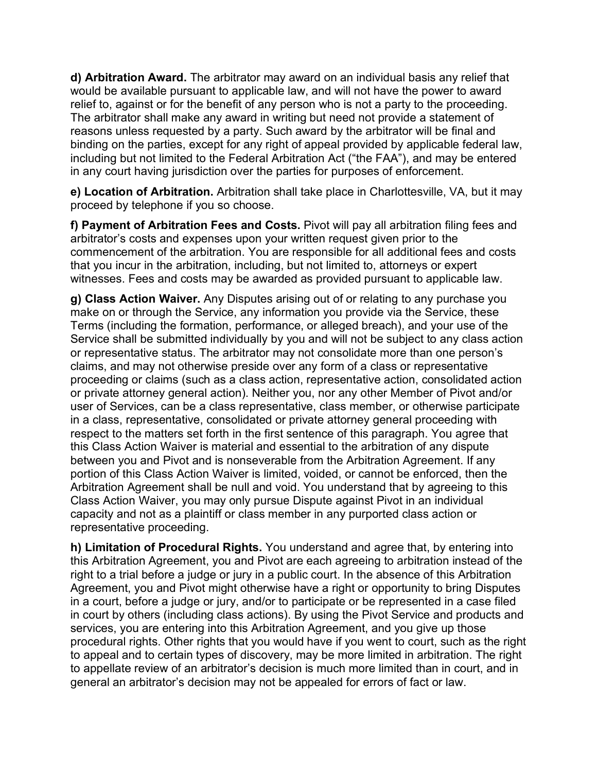**d) Arbitration Award.** The arbitrator may award on an individual basis any relief that would be available pursuant to applicable law, and will not have the power to award relief to, against or for the benefit of any person who is not a party to the proceeding. The arbitrator shall make any award in writing but need not provide a statement of reasons unless requested by a party. Such award by the arbitrator will be final and binding on the parties, except for any right of appeal provided by applicable federal law, including but not limited to the Federal Arbitration Act ("the FAA"), and may be entered in any court having jurisdiction over the parties for purposes of enforcement.

**e) Location of Arbitration.** Arbitration shall take place in Charlottesville, VA, but it may proceed by telephone if you so choose.

**f) Payment of Arbitration Fees and Costs.** Pivot will pay all arbitration filing fees and arbitrator's costs and expenses upon your written request given prior to the commencement of the arbitration. You are responsible for all additional fees and costs that you incur in the arbitration, including, but not limited to, attorneys or expert witnesses. Fees and costs may be awarded as provided pursuant to applicable law.

**g) Class Action Waiver.** Any Disputes arising out of or relating to any purchase you make on or through the Service, any information you provide via the Service, these Terms (including the formation, performance, or alleged breach), and your use of the Service shall be submitted individually by you and will not be subject to any class action or representative status. The arbitrator may not consolidate more than one person's claims, and may not otherwise preside over any form of a class or representative proceeding or claims (such as a class action, representative action, consolidated action or private attorney general action). Neither you, nor any other Member of Pivot and/or user of Services, can be a class representative, class member, or otherwise participate in a class, representative, consolidated or private attorney general proceeding with respect to the matters set forth in the first sentence of this paragraph. You agree that this Class Action Waiver is material and essential to the arbitration of any dispute between you and Pivot and is nonseverable from the Arbitration Agreement. If any portion of this Class Action Waiver is limited, voided, or cannot be enforced, then the Arbitration Agreement shall be null and void. You understand that by agreeing to this Class Action Waiver, you may only pursue Dispute against Pivot in an individual capacity and not as a plaintiff or class member in any purported class action or representative proceeding.

**h) Limitation of Procedural Rights.** You understand and agree that, by entering into this Arbitration Agreement, you and Pivot are each agreeing to arbitration instead of the right to a trial before a judge or jury in a public court. In the absence of this Arbitration Agreement, you and Pivot might otherwise have a right or opportunity to bring Disputes in a court, before a judge or jury, and/or to participate or be represented in a case filed in court by others (including class actions). By using the Pivot Service and products and services, you are entering into this Arbitration Agreement, and you give up those procedural rights. Other rights that you would have if you went to court, such as the right to appeal and to certain types of discovery, may be more limited in arbitration. The right to appellate review of an arbitrator's decision is much more limited than in court, and in general an arbitrator's decision may not be appealed for errors of fact or law.